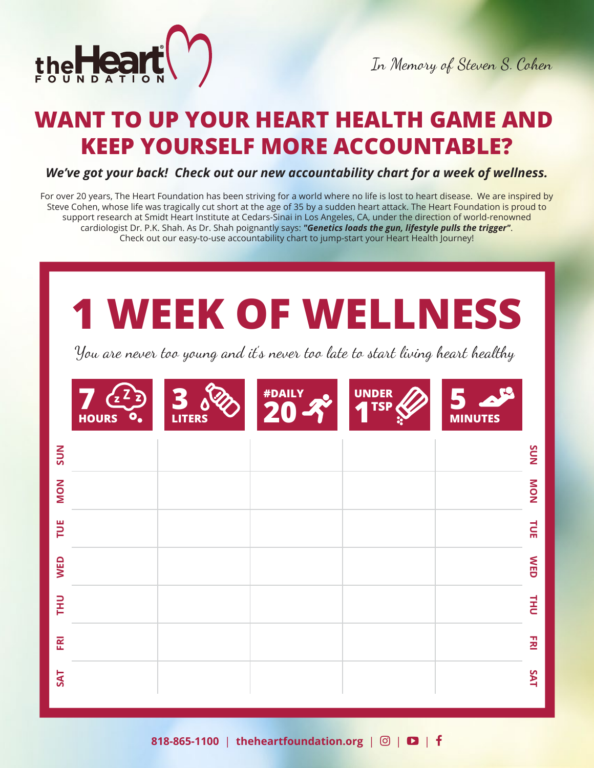

## **WANT TO UP YOUR HEART HEALTH GAME AND KEEP YOURSELF MORE ACCOUNTABLE?**

*We've got your back! Check out our new accountability chart for a week of wellness.*

For over 20 years, The Heart Foundation has been striving for a world where no life is lost to heart disease. We are inspired by Steve Cohen, whose life was tragically cut short at the age of 35 by a sudden heart attack. The Heart Foundation is proud to support research at Smidt Heart Institute at Cedars-Sinai in Los Angeles, CA, under the direction of world-renowned cardiologist Dr. P.K. Shah. As Dr. Shah poignantly says: *"Genetics loads the gun, lifestyle pulls the trigger"*. Check out our easy-to-use accountability chart to jump-start your Heart Health Journey!

# **1 WEEK OF WELLNESS**

You are never too young and it's never too late to start living heart healthy

| <b>UNDER</b><br>TSP<br><b>LITERS</b><br><b>HOURS</b><br>$\bullet_{\bullet}$ | 29<br><b>MINUTES</b> |
|-----------------------------------------------------------------------------|----------------------|
| <b>NNS</b>                                                                  | NNS                  |
| NON                                                                         | NOM                  |
| TUE                                                                         | $\vec{E}$            |
| <b>WED</b>                                                                  | <b>NED</b>           |
| <b>THU</b>                                                                  | $\vec{H}$            |
| ERI                                                                         | $\Xi$                |
| <b>SAT</b>                                                                  | <b>SAT</b>           |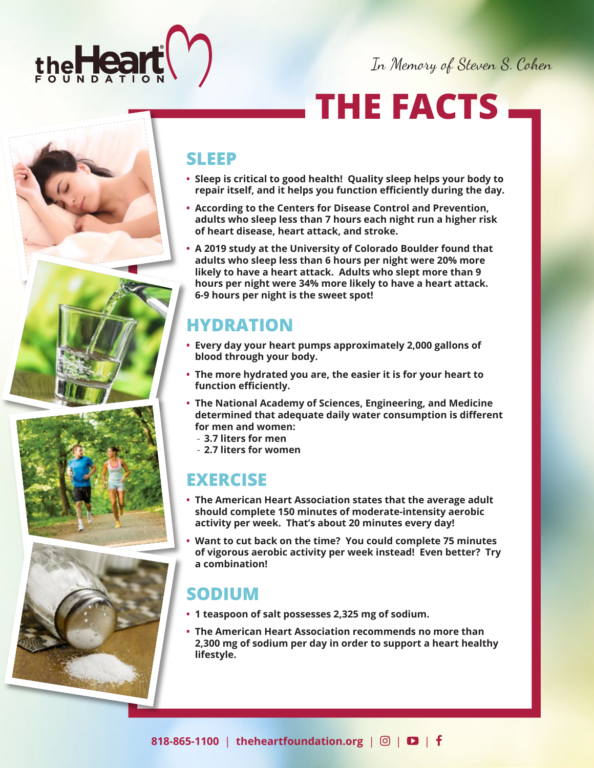

In Memory of Steven S. Cohen

## **THE FACTS**

### **SLEEP**

- **Sleep is critical to good health! Quality sleep helps your body to repair itself, and it helps you function efficiently during the day.**
- **According to the Centers for Disease Control and Prevention, adults who sleep less than 7 hours each night run a higher risk of heart disease, heart attack, and stroke.**
- **A 2019 study at the University of Colorado Boulder found that adults who sleep less than 6 hours per night were 20% more likely to have a heart attack. Adults who slept more than 9 hours per night were 34% more likely to have a heart attack. 6-9 hours per night is the sweet spot!**

## **HYDRATION**

- **Every day your heart pumps approximately 2,000 gallons of blood through your body.**
- **The more hydrated you are, the easier it is for your heart to function efficiently.**
- **The National Academy of Sciences, Engineering, and Medicine determined that adequate daily water consumption is different for men and women:**
	- **3.7 liters for men**
	- **2.7 liters for women**

## **EXERCISE**

- **The American Heart Association states that the average adult should complete 150 minutes of moderate-intensity aerobic activity per week. That's about 20 minutes every day!**
- **Want to cut back on the time? You could complete 75 minutes of vigorous aerobic activity per week instead! Even better? Try a combination!**

## **SODIUM**

- **1 teaspoon of salt possesses 2,325 mg of sodium.**
- **The American Heart Association recommends no more than 2,300 mg of sodium per day in order to support a heart healthy lifestyle.**